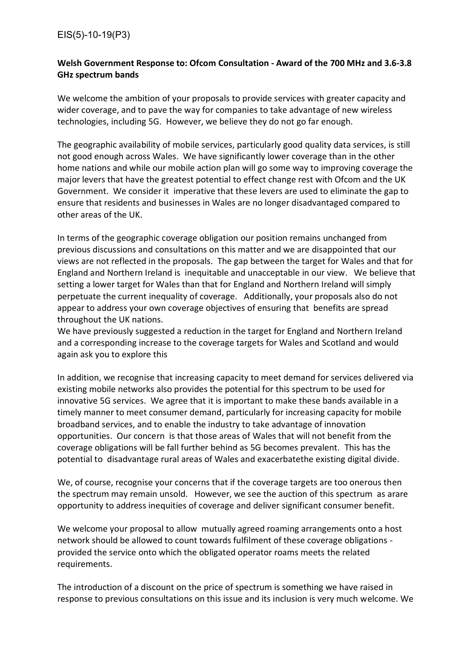## EIS(5)-10-19(P3)

## **Welsh Government Response to: Ofcom Consultation - Award of the 700 MHz and 3.6-3.8 GHz spectrum bands**

We welcome the ambition of your proposals to provide services with greater capacity and wider coverage, and to pave the way for companies to take advantage of new wireless technologies, including 5G. However, we believe they do not go far enough.

The geographic availability of mobile services, particularly good quality data services, is still not good enough across Wales. We have significantly lower coverage than in the other home nations and while our mobile action plan will go some way to improving coverage the major levers that have the greatest potential to effect change rest with Ofcom and the UK Government. We consider it imperative that these levers are used to eliminate the gap to ensure that residents and businesses in Wales are no longer disadvantaged compared to other areas of the UK.

In terms of the geographic coverage obligation our position remains unchanged from previous discussions and consultations on this matter and we are disappointed that our views are not reflected in the proposals. The gap between the target for Wales and that for England and Northern Ireland is inequitable and unacceptable in our view. We believe that setting a lower target for Wales than that for England and Northern Ireland will simply perpetuate the current inequality of coverage. Additionally, your proposals also do not appear to address your own coverage objectives of ensuring that benefits are spread throughout the UK nations.

We have previously suggested a reduction in the target for England and Northern Ireland and a corresponding increase to the coverage targets for Wales and Scotland and would again ask you to explore this

In addition, we recognise that increasing capacity to meet demand for services delivered via existing mobile networks also provides the potential for this spectrum to be used for innovative 5G services. We agree that it is important to make these bands available in a timely manner to meet consumer demand, particularly for increasing capacity for mobile broadband services, and to enable the industry to take advantage of innovation opportunities. Our concern is that those areas of Wales that will not benefit from the coverage obligations will be fall further behind as 5G becomes prevalent. This has the potential to disadvantage rural areas of Wales and exacerbatethe existing digital divide.

We, of course, recognise your concerns that if the coverage targets are too onerous then the spectrum may remain unsold. However, we see the auction of this spectrum as arare opportunity to address inequities of coverage and deliver significant consumer benefit.

We welcome your proposal to allow mutually agreed roaming arrangements onto a host network should be allowed to count towards fulfilment of these coverage obligations provided the service onto which the obligated operator roams meets the related requirements.

The introduction of a discount on the price of spectrum is something we have raised in response to previous consultations on this issue and its inclusion is very much welcome. We